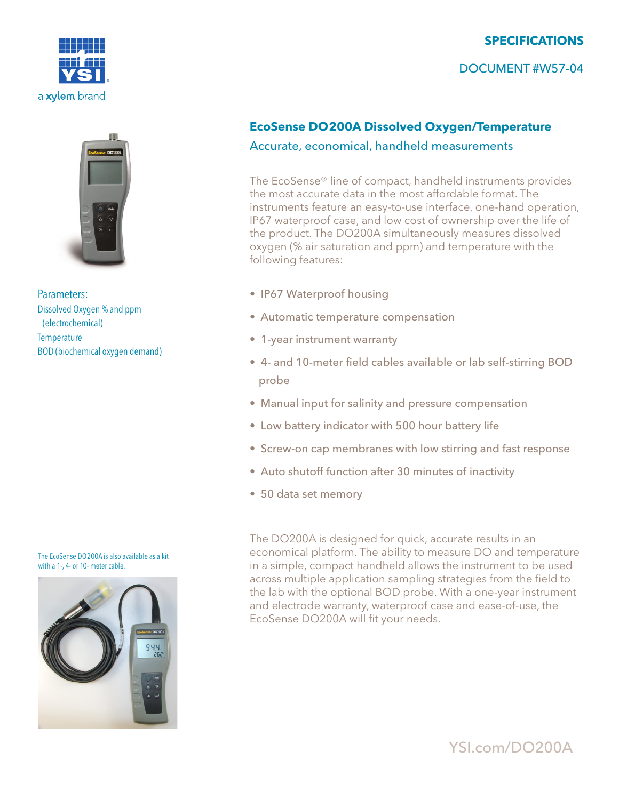

Parameters: Dissolved Oxygen % and ppm (electrochemical) **Temperature** BOD (biochemical oxygen demand)

#### The EcoSense DO200A is also available as a kit with a 1-, 4- or 10- meter cable.



# **SPECIFICATIONS**

## DOCUMENT #W57-04

## **EcoSense DO200A Dissolved Oxygen/Temperature**

### Accurate, economical, handheld measurements

The EcoSense® line of compact, handheld instruments provides the most accurate data in the most affordable format. The instruments feature an easy-to-use interface, one-hand operation, IP67 waterproof case, and low cost of ownership over the life of the product. The DO200A simultaneously measures dissolved oxygen (% air saturation and ppm) and temperature with the following features:

- IP67 Waterproof housing
- Automatic temperature compensation
- 1-year instrument warranty
- 4- and 10-meter field cables available or lab self-stirring BOD probe
- Manual input for salinity and pressure compensation
- Low battery indicator with 500 hour battery life
- Screw-on cap membranes with low stirring and fast response
- Auto shutoff function after 30 minutes of inactivity
- 50 data set memory

The DO200A is designed for quick, accurate results in an economical platform. The ability to measure DO and temperature in a simple, compact handheld allows the instrument to be used across multiple application sampling strategies from the field to the lab with the optional BOD probe. With a one-year instrument and electrode warranty, waterproof case and ease-of-use, the EcoSense DO200A will fit your needs.